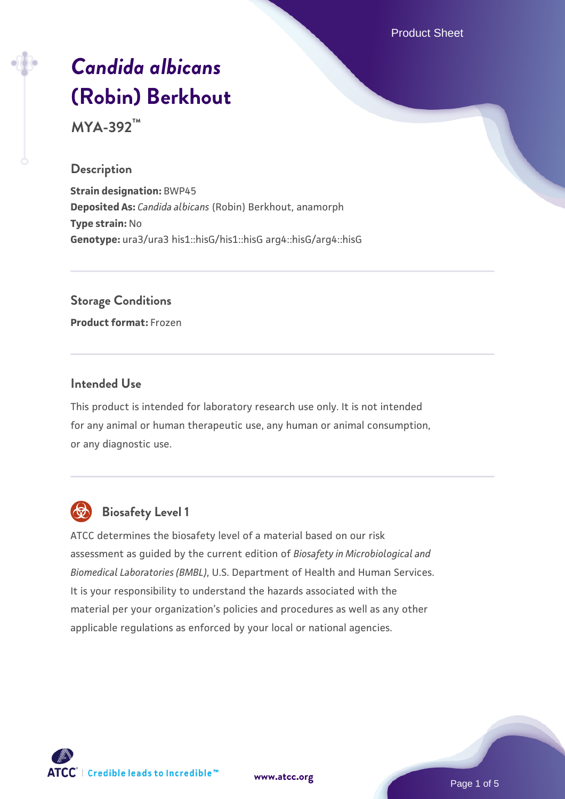Product Sheet

# *[Candida albicans](https://www.atcc.org/products/mya-392)* **[\(Robin\) Berkhout](https://www.atcc.org/products/mya-392)**

**MYA-392™**

#### **Description**

**Strain designation:** BWP45 **Deposited As:** *Candida albicans* (Robin) Berkhout, anamorph **Type strain:** No **Genotype:** ura3/ura3 his1::hisG/his1::hisG arg4::hisG/arg4::hisG

**Storage Conditions**

**Product format:** Frozen

#### **Intended Use**

This product is intended for laboratory research use only. It is not intended for any animal or human therapeutic use, any human or animal consumption, or any diagnostic use.



# **Biosafety Level 1**

ATCC determines the biosafety level of a material based on our risk assessment as guided by the current edition of *Biosafety in Microbiological and Biomedical Laboratories (BMBL)*, U.S. Department of Health and Human Services. It is your responsibility to understand the hazards associated with the material per your organization's policies and procedures as well as any other applicable regulations as enforced by your local or national agencies.

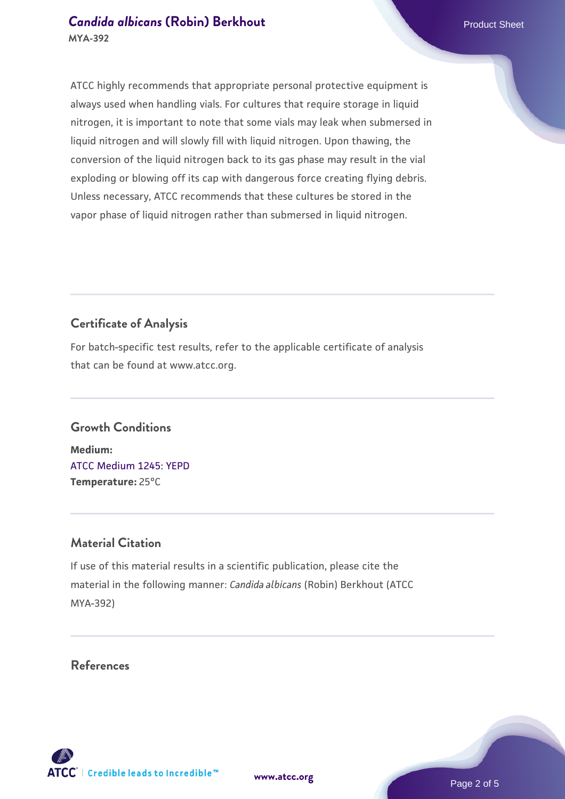#### **[Candida albicans](https://www.atcc.org/products/mya-392) [\(Robin\) Berkhout](https://www.atcc.org/products/mya-392) Candida albicans** (Robin) Berkhout **MYA-392**

ATCC highly recommends that appropriate personal protective equipment is always used when handling vials. For cultures that require storage in liquid nitrogen, it is important to note that some vials may leak when submersed in liquid nitrogen and will slowly fill with liquid nitrogen. Upon thawing, the conversion of the liquid nitrogen back to its gas phase may result in the vial exploding or blowing off its cap with dangerous force creating flying debris. Unless necessary, ATCC recommends that these cultures be stored in the vapor phase of liquid nitrogen rather than submersed in liquid nitrogen.

## **Certificate of Analysis**

For batch-specific test results, refer to the applicable certificate of analysis that can be found at www.atcc.org.

#### **Growth Conditions**

**Medium:**  [ATCC Medium 1245: YEPD](https://www.atcc.org/-/media/product-assets/documents/microbial-media-formulations/1/2/4/5/atcc-medium-1245.pdf?rev=705ca55d1b6f490a808a965d5c072196) **Temperature:** 25°C

#### **Material Citation**

If use of this material results in a scientific publication, please cite the material in the following manner: *Candida albicans* (Robin) Berkhout (ATCC MYA-392)

#### **References**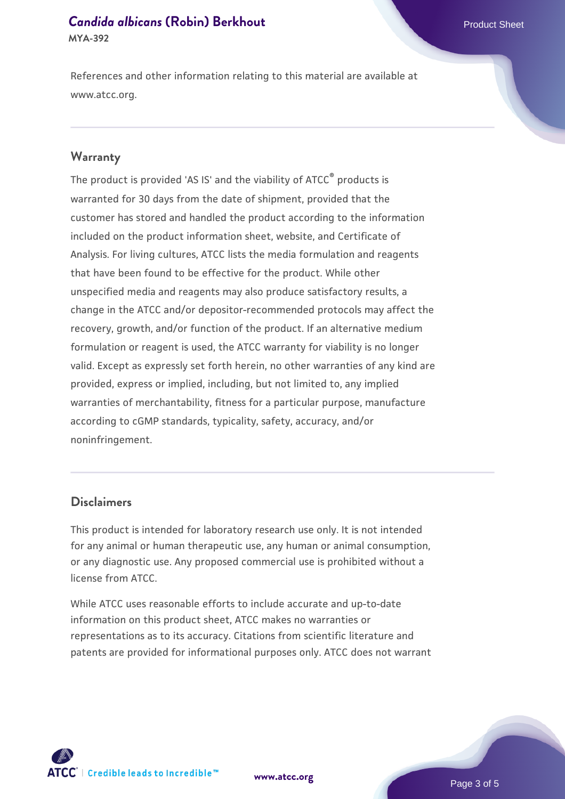#### **[Candida albicans](https://www.atcc.org/products/mya-392) [\(Robin\) Berkhout](https://www.atcc.org/products/mya-392) Candida albicans** (Robin) Berkhout **MYA-392**

References and other information relating to this material are available at www.atcc.org.

#### **Warranty**

The product is provided 'AS IS' and the viability of ATCC® products is warranted for 30 days from the date of shipment, provided that the customer has stored and handled the product according to the information included on the product information sheet, website, and Certificate of Analysis. For living cultures, ATCC lists the media formulation and reagents that have been found to be effective for the product. While other unspecified media and reagents may also produce satisfactory results, a change in the ATCC and/or depositor-recommended protocols may affect the recovery, growth, and/or function of the product. If an alternative medium formulation or reagent is used, the ATCC warranty for viability is no longer valid. Except as expressly set forth herein, no other warranties of any kind are provided, express or implied, including, but not limited to, any implied warranties of merchantability, fitness for a particular purpose, manufacture according to cGMP standards, typicality, safety, accuracy, and/or noninfringement.

#### **Disclaimers**

This product is intended for laboratory research use only. It is not intended for any animal or human therapeutic use, any human or animal consumption, or any diagnostic use. Any proposed commercial use is prohibited without a license from ATCC.

While ATCC uses reasonable efforts to include accurate and up-to-date information on this product sheet, ATCC makes no warranties or representations as to its accuracy. Citations from scientific literature and patents are provided for informational purposes only. ATCC does not warrant

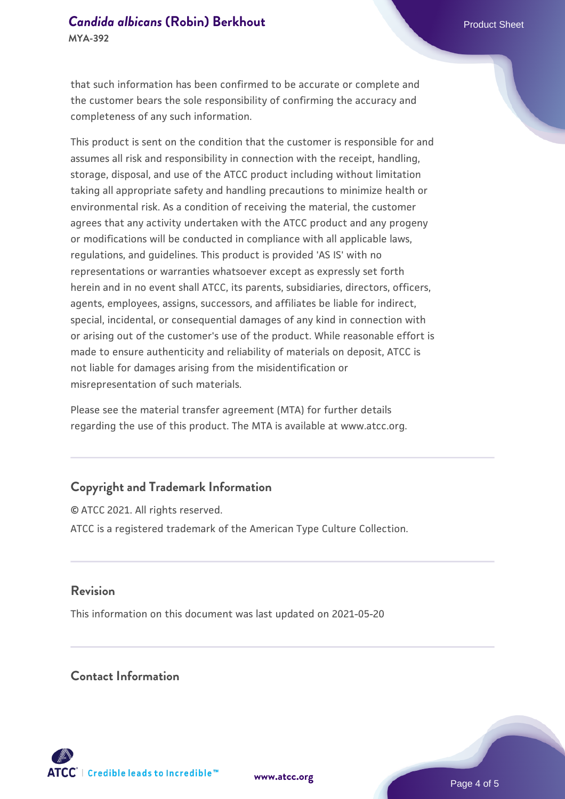# **[Candida albicans](https://www.atcc.org/products/mya-392) [\(Robin\) Berkhout](https://www.atcc.org/products/mya-392) Candida albicans** (Robin) Berkhout

that such information has been confirmed to be accurate or complete and the customer bears the sole responsibility of confirming the accuracy and completeness of any such information.

This product is sent on the condition that the customer is responsible for and assumes all risk and responsibility in connection with the receipt, handling, storage, disposal, and use of the ATCC product including without limitation taking all appropriate safety and handling precautions to minimize health or environmental risk. As a condition of receiving the material, the customer agrees that any activity undertaken with the ATCC product and any progeny or modifications will be conducted in compliance with all applicable laws, regulations, and guidelines. This product is provided 'AS IS' with no representations or warranties whatsoever except as expressly set forth herein and in no event shall ATCC, its parents, subsidiaries, directors, officers, agents, employees, assigns, successors, and affiliates be liable for indirect, special, incidental, or consequential damages of any kind in connection with or arising out of the customer's use of the product. While reasonable effort is made to ensure authenticity and reliability of materials on deposit, ATCC is not liable for damages arising from the misidentification or misrepresentation of such materials.

Please see the material transfer agreement (MTA) for further details regarding the use of this product. The MTA is available at www.atcc.org.

### **Copyright and Trademark Information**

© ATCC 2021. All rights reserved. ATCC is a registered trademark of the American Type Culture Collection.

#### **Revision**

This information on this document was last updated on 2021-05-20

#### **Contact Information**



**[www.atcc.org](http://www.atcc.org)**